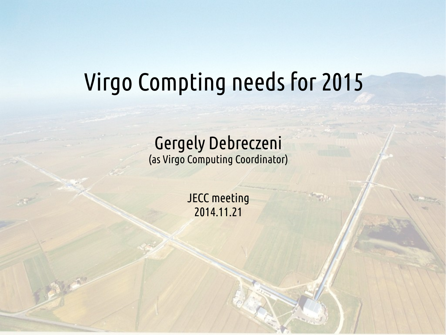# Virgo Compting needs for 2015

#### Gergely Debreczeni (as Virgo Computing Coordinator)

JECC meeting 2014.11.21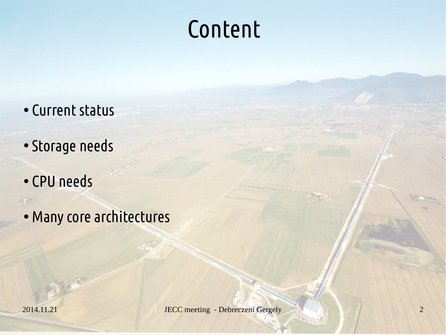### Content

- Current status
- Storage needs
- CPU needs
- Many core architectures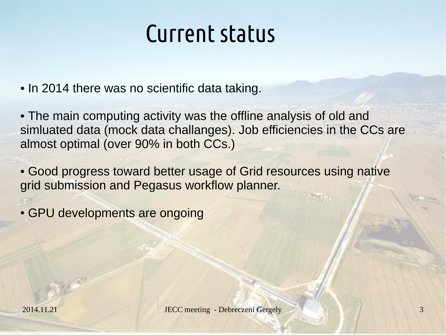#### Current status

- In 2014 there was no scientific data taking.
- The main computing activity was the offline analysis of old and simluated data (mock data challanges). Job efficiencies in the CCs are almost optimal (over 90% in both CCs.)
- Good progress toward better usage of Grid resources using native grid submission and Pegasus workflow planner.
- GPU developments are ongoing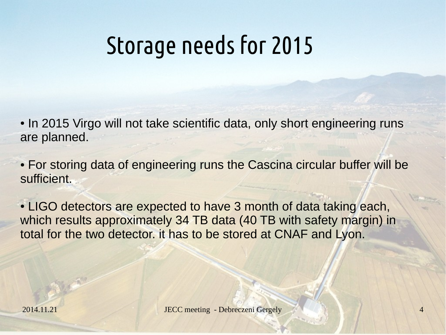## Storage needs for 2015

- In 2015 Virgo will not take scientific data, only short engineering runs are planned.
- For storing data of engineering runs the Cascina circular buffer will be sufficient.
- LIGO detectors are expected to have 3 month of data taking each, which results approximately 34 TB data (40 TB with safety margin) in total for the two detector. it has to be stored at CNAF and Lyon.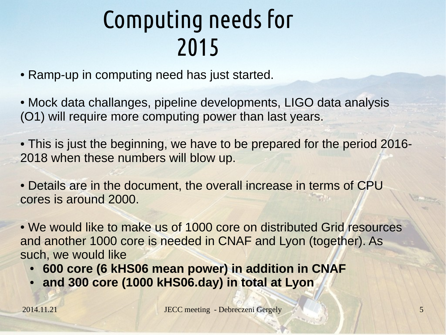## Computing needs for 2015

- Ramp-up in computing need has just started.
- Mock data challanges, pipeline developments, LIGO data analysis (O1) will require more computing power than last years.
- This is just the beginning, we have to be prepared for the period 2016-2018 when these numbers will blow up.
- Details are in the document, the overall increase in terms of CPU cores is around 2000.
- We would like to make us of 1000 core on distributed Grid resources and another 1000 core is needed in CNAF and Lyon (together). As such, we would like
	- **600 core (6 kHS06 mean power) in addition in CNAF**
	- and 300 core (1000 kHS06.day) in total at Lyon